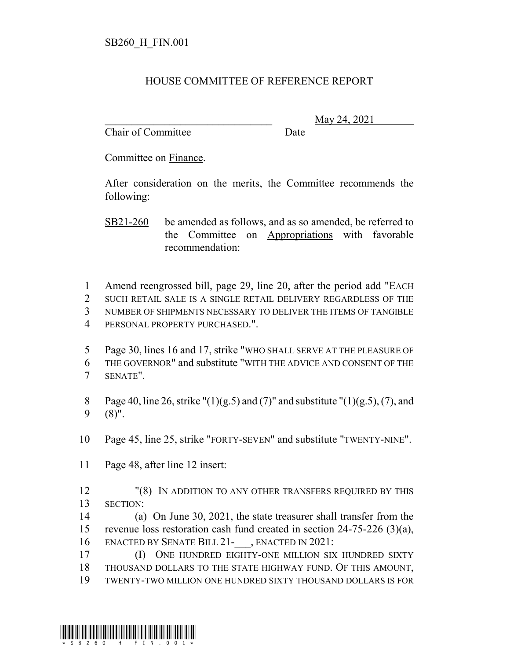## HOUSE COMMITTEE OF REFERENCE REPORT

Chair of Committee Date

\_\_\_\_\_\_\_\_\_\_\_\_\_\_\_\_\_\_\_\_\_\_\_\_\_\_\_\_\_\_\_ May 24, 2021

Committee on Finance.

After consideration on the merits, the Committee recommends the following:

SB21-260 be amended as follows, and as so amended, be referred to the Committee on Appropriations with favorable recommendation:

1 Amend reengrossed bill, page 29, line 20, after the period add "EACH 2 SUCH RETAIL SALE IS A SINGLE RETAIL DELIVERY REGARDLESS OF THE

3 NUMBER OF SHIPMENTS NECESSARY TO DELIVER THE ITEMS OF TANGIBLE

4 PERSONAL PROPERTY PURCHASED.".

5 Page 30, lines 16 and 17, strike "WHO SHALL SERVE AT THE PLEASURE OF 6 THE GOVERNOR" and substitute "WITH THE ADVICE AND CONSENT OF THE 7 SENATE".

8 Page 40, line 26, strike " $(1)(g.5)$  and  $(7)$ " and substitute " $(1)(g.5)$ ,  $(7)$ , and 9 (8)".

10 Page 45, line 25, strike "FORTY-SEVEN" and substitute "TWENTY-NINE".

11 Page 48, after line 12 insert:

12 "(8) IN ADDITION TO ANY OTHER TRANSFERS REQUIRED BY THIS 13 SECTION:

14 (a) On June 30, 2021, the state treasurer shall transfer from the 15 revenue loss restoration cash fund created in section 24-75-226 (3)(a), 16 ENACTED BY SENATE BILL 21- , ENACTED IN 2021:

17 (I) ONE HUNDRED EIGHTY-ONE MILLION SIX HUNDRED SIXTY 18 THOUSAND DOLLARS TO THE STATE HIGHWAY FUND. OF THIS AMOUNT, 19 TWENTY-TWO MILLION ONE HUNDRED SIXTY THOUSAND DOLLARS IS FOR

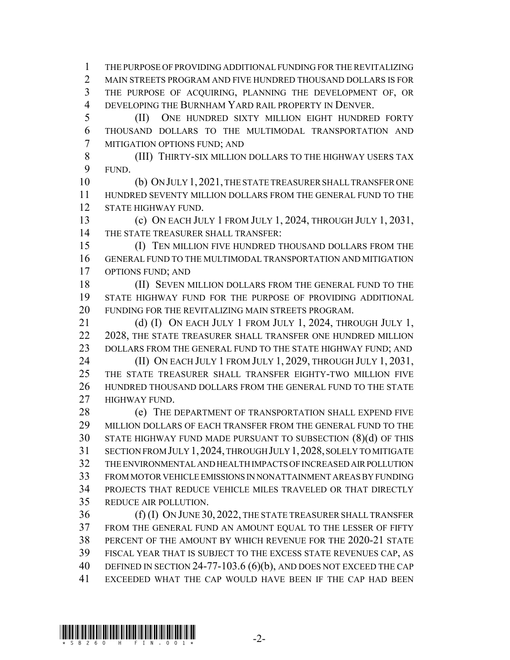THE PURPOSE OF PROVIDING ADDITIONAL FUNDING FOR THE REVITALIZING MAIN STREETS PROGRAM AND FIVE HUNDRED THOUSAND DOLLARS IS FOR THE PURPOSE OF ACQUIRING, PLANNING THE DEVELOPMENT OF, OR 4 DEVELOPING THE BURNHAM YARD RAIL PROPERTY IN DENVER.

 (II) ONE HUNDRED SIXTY MILLION EIGHT HUNDRED FORTY THOUSAND DOLLARS TO THE MULTIMODAL TRANSPORTATION AND MITIGATION OPTIONS FUND; AND

 (III) THIRTY-SIX MILLION DOLLARS TO THE HIGHWAY USERS TAX FUND.

 (b) ON JULY 1,2021, THE STATE TREASURER SHALL TRANSFER ONE HUNDRED SEVENTY MILLION DOLLARS FROM THE GENERAL FUND TO THE STATE HIGHWAY FUND.

 (c) ON EACH JULY 1 FROM JULY 1, 2024, THROUGH JULY 1, 2031, THE STATE TREASURER SHALL TRANSFER:

 (I) TEN MILLION FIVE HUNDRED THOUSAND DOLLARS FROM THE GENERAL FUND TO THE MULTIMODAL TRANSPORTATION AND MITIGATION OPTIONS FUND; AND

18 (II) SEVEN MILLION DOLLARS FROM THE GENERAL FUND TO THE STATE HIGHWAY FUND FOR THE PURPOSE OF PROVIDING ADDITIONAL FUNDING FOR THE REVITALIZING MAIN STREETS PROGRAM.

21 (d) (I) ON EACH JULY 1 FROM JULY 1, 2024, THROUGH JULY 1, 22 2028, THE STATE TREASURER SHALL TRANSFER ONE HUNDRED MILLION 23 DOLLARS FROM THE GENERAL FUND TO THE STATE HIGHWAY FUND; AND

**(II) ON EACH JULY 1 FROM JULY 1, 2029, THROUGH JULY 1, 2031,**  THE STATE TREASURER SHALL TRANSFER EIGHTY-TWO MILLION FIVE HUNDRED THOUSAND DOLLARS FROM THE GENERAL FUND TO THE STATE HIGHWAY FUND.

28 (e) THE DEPARTMENT OF TRANSPORTATION SHALL EXPEND FIVE MILLION DOLLARS OF EACH TRANSFER FROM THE GENERAL FUND TO THE STATE HIGHWAY FUND MADE PURSUANT TO SUBSECTION (8)(d) OF THIS SECTION FROM JULY 1,2024, THROUGH JULY 1,2028, SOLELY TO MITIGATE THE ENVIRONMENTAL AND HEALTH IMPACTS OF INCREASED AIR POLLUTION FROM MOTOR VEHICLE EMISSIONS IN NONATTAINMENT AREAS BY FUNDING PROJECTS THAT REDUCE VEHICLE MILES TRAVELED OR THAT DIRECTLY REDUCE AIR POLLUTION.

 (f) (I) ON JUNE 30, 2022, THE STATE TREASURER SHALL TRANSFER FROM THE GENERAL FUND AN AMOUNT EQUAL TO THE LESSER OF FIFTY PERCENT OF THE AMOUNT BY WHICH REVENUE FOR THE 2020-21 STATE FISCAL YEAR THAT IS SUBJECT TO THE EXCESS STATE REVENUES CAP, AS 40 DEFINED IN SECTION 24-77-103.6 (6)(b), AND DOES NOT EXCEED THE CAP EXCEEDED WHAT THE CAP WOULD HAVE BEEN IF THE CAP HAD BEEN

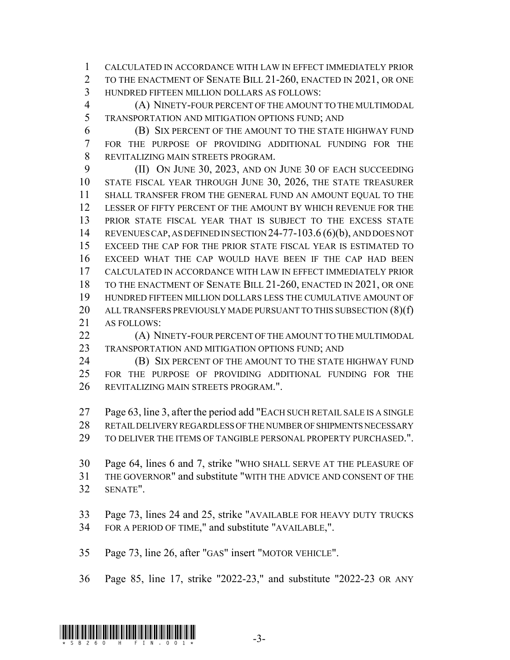CALCULATED IN ACCORDANCE WITH LAW IN EFFECT IMMEDIATELY PRIOR TO THE ENACTMENT OF SENATE BILL 21-260, ENACTED IN 2021, OR ONE HUNDRED FIFTEEN MILLION DOLLARS AS FOLLOWS:

 (A) NINETY-FOUR PERCENT OF THE AMOUNT TO THE MULTIMODAL TRANSPORTATION AND MITIGATION OPTIONS FUND; AND

 (B) SIX PERCENT OF THE AMOUNT TO THE STATE HIGHWAY FUND FOR THE PURPOSE OF PROVIDING ADDITIONAL FUNDING FOR THE REVITALIZING MAIN STREETS PROGRAM.

 (II) ON JUNE 30, 2023, AND ON JUNE 30 OF EACH SUCCEEDING STATE FISCAL YEAR THROUGH JUNE 30, 2026, THE STATE TREASURER SHALL TRANSFER FROM THE GENERAL FUND AN AMOUNT EQUAL TO THE LESSER OF FIFTY PERCENT OF THE AMOUNT BY WHICH REVENUE FOR THE PRIOR STATE FISCAL YEAR THAT IS SUBJECT TO THE EXCESS STATE REVENUES CAP, AS DEFINED IN SECTION 24-77-103.6 (6)(b), AND DOES NOT EXCEED THE CAP FOR THE PRIOR STATE FISCAL YEAR IS ESTIMATED TO EXCEED WHAT THE CAP WOULD HAVE BEEN IF THE CAP HAD BEEN CALCULATED IN ACCORDANCE WITH LAW IN EFFECT IMMEDIATELY PRIOR TO THE ENACTMENT OF SENATE BILL 21-260, ENACTED IN 2021, OR ONE HUNDRED FIFTEEN MILLION DOLLARS LESS THE CUMULATIVE AMOUNT OF 20 ALL TRANSFERS PREVIOUSLY MADE PURSUANT TO THIS SUBSECTION (8)(f) AS FOLLOWS:

**(A) NINETY-FOUR PERCENT OF THE AMOUNT TO THE MULTIMODAL** TRANSPORTATION AND MITIGATION OPTIONS FUND; AND

**(B) SIX PERCENT OF THE AMOUNT TO THE STATE HIGHWAY FUND**  FOR THE PURPOSE OF PROVIDING ADDITIONAL FUNDING FOR THE REVITALIZING MAIN STREETS PROGRAM.".

 Page 63, line 3, after the period add "EACH SUCH RETAIL SALE IS A SINGLE RETAIL DELIVERY REGARDLESS OF THE NUMBER OF SHIPMENTS NECESSARY

TO DELIVER THE ITEMS OF TANGIBLE PERSONAL PROPERTY PURCHASED.".

 Page 64, lines 6 and 7, strike "WHO SHALL SERVE AT THE PLEASURE OF THE GOVERNOR" and substitute "WITH THE ADVICE AND CONSENT OF THE SENATE".

 Page 73, lines 24 and 25, strike "AVAILABLE FOR HEAVY DUTY TRUCKS FOR A PERIOD OF TIME," and substitute "AVAILABLE,".

Page 73, line 26, after "GAS" insert "MOTOR VEHICLE".

Page 85, line 17, strike "2022-23," and substitute "2022-23 OR ANY

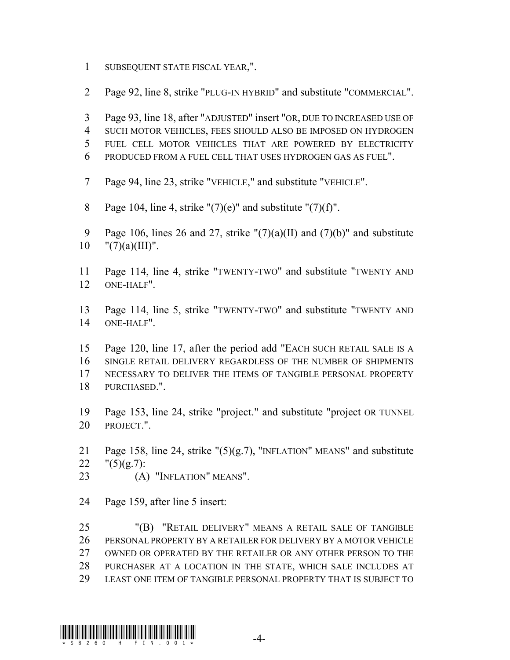- SUBSEQUENT STATE FISCAL YEAR,".
- Page 92, line 8, strike "PLUG-IN HYBRID" and substitute "COMMERCIAL".
- Page 93, line 18, after "ADJUSTED" insert "OR, DUE TO INCREASED USE OF SUCH MOTOR VEHICLES, FEES SHOULD ALSO BE IMPOSED ON HYDROGEN FUEL CELL MOTOR VEHICLES THAT ARE POWERED BY ELECTRICITY PRODUCED FROM A FUEL CELL THAT USES HYDROGEN GAS AS FUEL".
- Page 94, line 23, strike "VEHICLE," and substitute "VEHICLE".
- 8 Page 104, line 4, strike " $(7)(e)$ " and substitute " $(7)(f)$ ".
- 9 Page 106, lines 26 and 27, strike " $(7)(a)(II)$  and  $(7)(b)$ " and substitute 10  $"(7)(a)(III)$ ".
- Page 114, line 4, strike "TWENTY-TWO" and substitute "TWENTY AND ONE-HALF".
- Page 114, line 5, strike "TWENTY-TWO" and substitute "TWENTY AND ONE-HALF".
- Page 120, line 17, after the period add "EACH SUCH RETAIL SALE IS A SINGLE RETAIL DELIVERY REGARDLESS OF THE NUMBER OF SHIPMENTS NECESSARY TO DELIVER THE ITEMS OF TANGIBLE PERSONAL PROPERTY PURCHASED.".
- Page 153, line 24, strike "project." and substitute "project OR TUNNEL PROJECT.".
- Page 158, line 24, strike "(5)(g.7), "INFLATION" MEANS" and substitute 22  $"(5)(g.7):$
- (A) "INFLATION" MEANS".
- Page 159, after line 5 insert:

 "(B) "RETAIL DELIVERY" MEANS A RETAIL SALE OF TANGIBLE PERSONAL PROPERTY BY A RETAILER FOR DELIVERY BY A MOTOR VEHICLE OWNED OR OPERATED BY THE RETAILER OR ANY OTHER PERSON TO THE PURCHASER AT A LOCATION IN THE STATE, WHICH SALE INCLUDES AT LEAST ONE ITEM OF TANGIBLE PERSONAL PROPERTY THAT IS SUBJECT TO

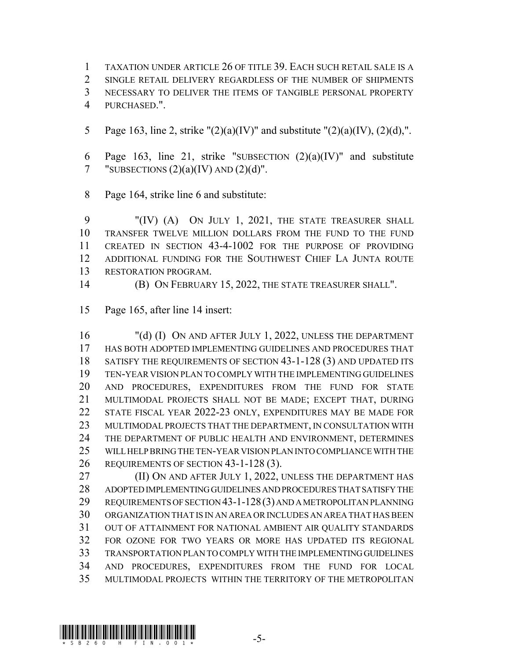TAXATION UNDER ARTICLE 26 OF TITLE 39. EACH SUCH RETAIL SALE IS A SINGLE RETAIL DELIVERY REGARDLESS OF THE NUMBER OF SHIPMENTS NECESSARY TO DELIVER THE ITEMS OF TANGIBLE PERSONAL PROPERTY PURCHASED.".

- 5 Page 163, line 2, strike " $(2)(a)(IV)$ " and substitute " $(2)(a)(IV)$ ,  $(2)(d)$ ,".
- 6 Page 163, line 21, strike "SUBSECTION  $(2)(a)(IV)$ " and substitute 7 "SUBSECTIONS  $(2)(a)(IV)$  AND  $(2)(d)$ ".
- Page 164, strike line 6 and substitute:

 "(IV) (A) ON JULY 1, 2021, THE STATE TREASURER SHALL TRANSFER TWELVE MILLION DOLLARS FROM THE FUND TO THE FUND CREATED IN SECTION 43-4-1002 FOR THE PURPOSE OF PROVIDING ADDITIONAL FUNDING FOR THE SOUTHWEST CHIEF LA JUNTA ROUTE RESTORATION PROGRAM.

- 
- (B) ON FEBRUARY 15, 2022, THE STATE TREASURER SHALL".
- Page 165, after line 14 insert:

 "(d) (I) ON AND AFTER JULY 1, 2022, UNLESS THE DEPARTMENT HAS BOTH ADOPTED IMPLEMENTING GUIDELINES AND PROCEDURES THAT SATISFY THE REQUIREMENTS OF SECTION 43-1-128 (3) AND UPDATED ITS TEN-YEAR VISION PLAN TO COMPLY WITH THE IMPLEMENTING GUIDELINES AND PROCEDURES, EXPENDITURES FROM THE FUND FOR STATE MULTIMODAL PROJECTS SHALL NOT BE MADE; EXCEPT THAT, DURING STATE FISCAL YEAR 2022-23 ONLY, EXPENDITURES MAY BE MADE FOR MULTIMODAL PROJECTS THAT THE DEPARTMENT, IN CONSULTATION WITH THE DEPARTMENT OF PUBLIC HEALTH AND ENVIRONMENT, DETERMINES WILL HELP BRING THE TEN-YEAR VISION PLAN INTO COMPLIANCE WITH THE REQUIREMENTS OF SECTION 43-1-128 (3).

 (II) ON AND AFTER JULY 1, 2022, UNLESS THE DEPARTMENT HAS ADOPTED IMPLEMENTING GUIDELINES AND PROCEDURES THAT SATISFY THE REQUIREMENTS OF SECTION 43-1-128(3) AND A METROPOLITAN PLANNING ORGANIZATION THAT IS IN AN AREA OR INCLUDES AN AREA THAT HAS BEEN OUT OF ATTAINMENT FOR NATIONAL AMBIENT AIR QUALITY STANDARDS FOR OZONE FOR TWO YEARS OR MORE HAS UPDATED ITS REGIONAL TRANSPORTATION PLAN TO COMPLY WITH THE IMPLEMENTING GUIDELINES AND PROCEDURES, EXPENDITURES FROM THE FUND FOR LOCAL MULTIMODAL PROJECTS WITHIN THE TERRITORY OF THE METROPOLITAN

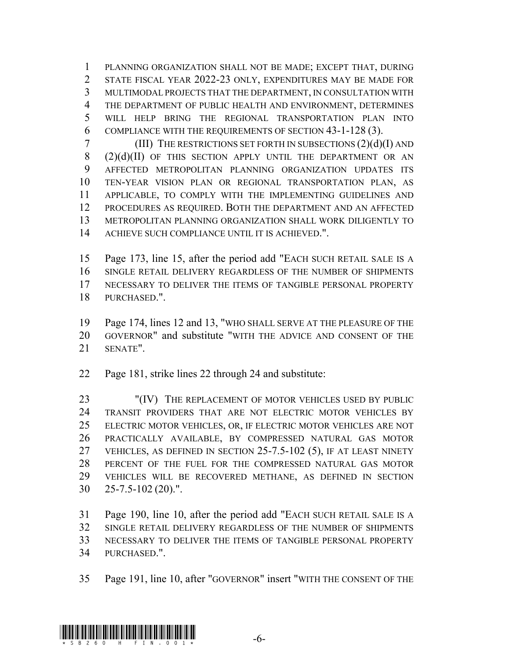PLANNING ORGANIZATION SHALL NOT BE MADE; EXCEPT THAT, DURING STATE FISCAL YEAR 2022-23 ONLY, EXPENDITURES MAY BE MADE FOR MULTIMODAL PROJECTS THAT THE DEPARTMENT, IN CONSULTATION WITH 4 THE DEPARTMENT OF PUBLIC HEALTH AND ENVIRONMENT, DETERMINES WILL HELP BRING THE REGIONAL TRANSPORTATION PLAN INTO COMPLIANCE WITH THE REQUIREMENTS OF SECTION 43-1-128 (3).

7 (III) THE RESTRICTIONS SET FORTH IN SUBSECTIONS  $(2)(d)(I)$  AND  $(2)(d)(II)$  OF THIS SECTION APPLY UNTIL THE DEPARTMENT OR AN AFFECTED METROPOLITAN PLANNING ORGANIZATION UPDATES ITS TEN-YEAR VISION PLAN OR REGIONAL TRANSPORTATION PLAN, AS APPLICABLE, TO COMPLY WITH THE IMPLEMENTING GUIDELINES AND PROCEDURES AS REQUIRED. BOTH THE DEPARTMENT AND AN AFFECTED METROPOLITAN PLANNING ORGANIZATION SHALL WORK DILIGENTLY TO ACHIEVE SUCH COMPLIANCE UNTIL IT IS ACHIEVED.".

 Page 173, line 15, after the period add "EACH SUCH RETAIL SALE IS A SINGLE RETAIL DELIVERY REGARDLESS OF THE NUMBER OF SHIPMENTS NECESSARY TO DELIVER THE ITEMS OF TANGIBLE PERSONAL PROPERTY PURCHASED.".

 Page 174, lines 12 and 13, "WHO SHALL SERVE AT THE PLEASURE OF THE GOVERNOR" and substitute "WITH THE ADVICE AND CONSENT OF THE SENATE".

Page 181, strike lines 22 through 24 and substitute:

 "(IV) THE REPLACEMENT OF MOTOR VEHICLES USED BY PUBLIC TRANSIT PROVIDERS THAT ARE NOT ELECTRIC MOTOR VEHICLES BY ELECTRIC MOTOR VEHICLES, OR, IF ELECTRIC MOTOR VEHICLES ARE NOT PRACTICALLY AVAILABLE, BY COMPRESSED NATURAL GAS MOTOR VEHICLES, AS DEFINED IN SECTION 25-7.5-102 (5), IF AT LEAST NINETY PERCENT OF THE FUEL FOR THE COMPRESSED NATURAL GAS MOTOR VEHICLES WILL BE RECOVERED METHANE, AS DEFINED IN SECTION 25-7.5-102 (20).".

 Page 190, line 10, after the period add "EACH SUCH RETAIL SALE IS A SINGLE RETAIL DELIVERY REGARDLESS OF THE NUMBER OF SHIPMENTS NECESSARY TO DELIVER THE ITEMS OF TANGIBLE PERSONAL PROPERTY PURCHASED.".

Page 191, line 10, after "GOVERNOR" insert "WITH THE CONSENT OF THE